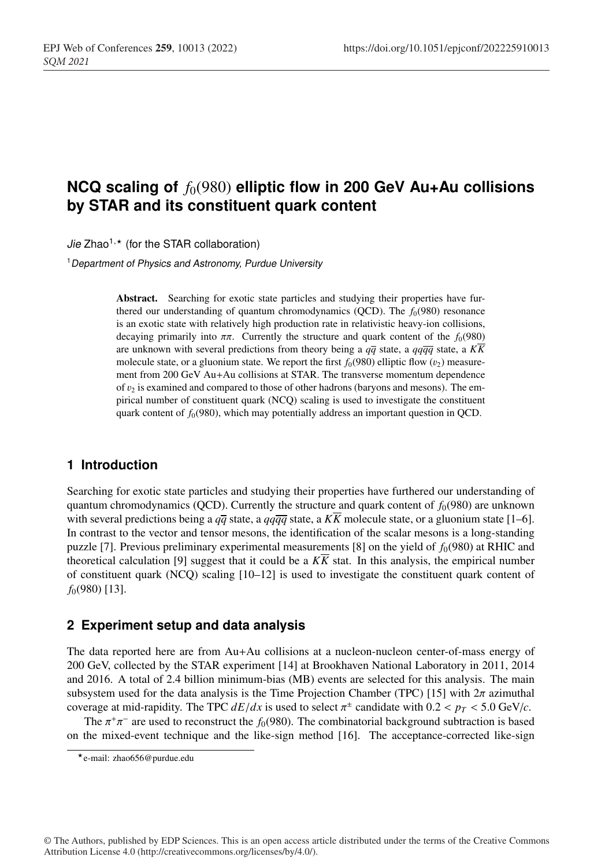# **NCQ scaling of**  $f_0(980)$  elliptic flow in 200 GeV Au+Au collisions **by STAR and its constituent quark content**

Jie Zhao<sup>1,\*</sup> (for the STAR collaboration)

<sup>1</sup>*Department of Physics and Astronomy, Purdue University*

Abstract. Searching for exotic state particles and studying their properties have furthered our understanding of quantum chromodynamics (QCD). The  $f_0(980)$  resonance is an exotic state with relatively high production rate in relativistic heavy-ion collisions, decaying primarily into  $\pi \pi$ . Currently the structure and quark content of the  $f_0(980)$ are unknown with several predictions from theory being a  $q\bar{q}$  state, a  $q\bar{q}\bar{q}$  state, a  $K\bar{K}$ molecule state, or a gluonium state. We report the first  $f_0(980)$  elliptic flow  $(v_2)$  measurement from 200 GeV Au+Au collisions at STAR. The transverse momentum dependence of  $v_2$  is examined and compared to those of other hadrons (baryons and mesons). The empirical number of constituent quark (NCQ) scaling is used to investigate the constituent quark content of  $f_0(980)$ , which may potentially address an important question in QCD.

## <sup>1</sup> **1 Introduction**

Searching for exotic state particles and studying their properties have furthered our understanding of quantum chromodynamics (OCD). Currently the structure and quark content of  $f<sub>0</sub>(980)$  are unknown with several predictions being a  $q\bar{q}$  state, a  $q\bar{q}\bar{q}$  state, a  $K\bar{K}$  molecule state, or a gluonium state [1–6]. In contrast to the vector and tensor mesons, the identification of the scalar mesons is a long-standing puzzle [7]. Previous preliminary experimental measurements [8] on the yield of  $f_0(980)$  at RHIC and theoretical calculation [9] suggest that it could be a  $K\overline{K}$  stat. In this analysis, the empirical number <sup>8</sup> of constituent quark (NCQ) scaling [10–12] is used to investigate the constituent quark content of <sup>9</sup> *f*0(980) [13].

#### <sup>10</sup> **2 Experiment setup and data analysis**

<sup>11</sup> The data reported here are from Au+Au collisions at a nucleon-nucleon center-of-mass energy of <sup>12</sup> 200 GeV, collected by the STAR experiment [14] at Brookhaven National Laboratory in 2011, 2014 and 2016. A total of 2.4 billion minimum-bias (MB) events are selected for this analysis. The main subsystem used for the data analysis is the Time Projection Chamber (TPC) [15] with  $2\pi$  azimuthal coverage at mid-rapidity. The TPC  $dE/dx$  is used to select  $\pi^{\pm}$  candidate with  $0.2 < p_T < 5.0$  GeV/*c*.

The  $\pi^+\pi^-$  are used to reconstruct the *f*<sub>0</sub>(980). The combinatorial background subtraction is based on the mixed-event technique and the like-sign method [16]. The acceptance-corrected like-sign

© The Authors, published by EDP Sciences. This is an open access article distributed under the terms of the Creative Commons Attribution License 4.0 (http://creativecommons.org/licenses/by/4.0/).

e-mail: zhao656@purdue.edu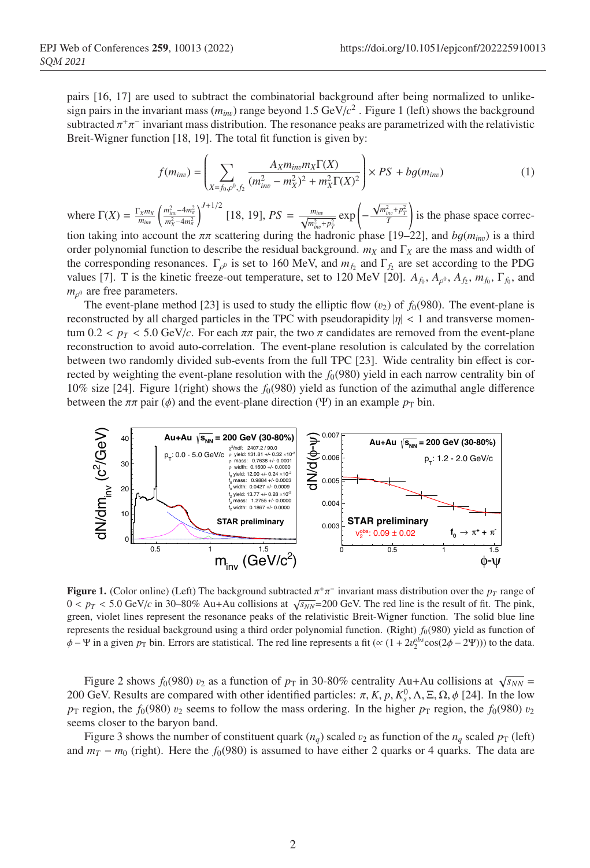<sup>18</sup> pairs [16, 17] are used to subtract the combinatorial background after being normalized to unlikesign pairs in the invariant mass  $(m_{inv})$  range beyond 1.5 GeV/ $c^2$ . Figure 1 (left) shows the background subtracted  $\pi^+\pi^-$  invariant mass distribution. The resonance peaks are parametrized with the relativistic Breit-Wigner function [18, 19]. The total fit function is given by:

$$
f(m_{inv}) = \left(\sum_{X = f_0, \rho^0, f_2} \frac{A_X m_{inv} m_X \Gamma(X)}{(m_{inv}^2 - m_X^2)^2 + m_X^2 \Gamma(X)^2}\right) \times PS + bg(m_{inv})
$$
 (1)

where  $\Gamma(X) = \frac{\Gamma_X m_X}{m_{inv}}$  $\left(\frac{m_{inv}^2 - 4m_{\pi}^2}{m_X^2 - 4m_{\pi}^2}\right)$  $J^{J+1/2}$  [18, 19],  $PS = \frac{m_{inv}}{\sqrt{m_{inv}^2 + p_T^2}} \exp\left(-\frac{m_{inv}^2}{2m_{inv}^2 + p_T^2}\right)$  $\frac{\sqrt{m_{\text{inv}}^2 + p_T^2}}{T}$ Ι where  $\Gamma(X) = \frac{\Gamma_X m_X}{m} \left( \frac{m_{inv}^2 - 4m_X^2}{m^2} \right)^{J+1/2}$  [18, 19],  $PS = \frac{m_{inv}}{\sqrt{m_{inv}^2 + m_Z^2}} \exp \left( -\frac{\sqrt{m_{inv}^2 + p_T^2}}{T} \right)$  is the phase space correction taking into account the  $\pi\pi$  scattering during the hadronic phase [19–22], and  $bg(m_{inv})$  is a third order polynomial function to describe the residual background.  $m_X$  and  $\Gamma_X$  are the mass and width of the corresponding resonances.  $\Gamma_{\rho^0}$  is set to 160 MeV, and  $m_{f_2}$  and  $\Gamma_{f_2}$  are set according to the PDG values [7]. T is the kinetic freeze-out temperature, set to 120 MeV [20].  $A_{f_0}$ ,  $A_{\rho^0}$ ,  $A_{f_2}$ ,  $m_{f_0}$ ,  $\Gamma_{f_0}$ , and  $m<sub>o</sub>$ <sup>0</sup> are free parameters.  $\frac{m_{inv} + p_T}{m_{inv} + p_T}$  (Dependence of  $19-221$  and

The event-plane method [23] is used to study the elliptic flow  $(v_2)$  of  $f_0(980)$ . The event-plane is reconstructed by all charged particles in the TPC with pseudorapidity  $|\eta| < 1$  and transverse momentum  $0.2 < p_T < 5.0$  GeV/c. For each  $\pi \pi$  pair, the two  $\pi$  candidates are removed from the event-plane reconstruction to avoid auto-correlation. The event-plane resolution is calculated by the correlation between two randomly divided sub-events from the full TPC [23]. Wide centrality bin effect is corrected by weighting the event-plane resolution with the  $f_0(980)$  yield in each narrow centrality bin of 10% size [24]. Figure 1(right) shows the  $f_0(980)$  yield as function of the azimuthal angle difference<br>between the  $\pi\pi$  poir (d) and the event plane direction (W) in an example p, bin 10% size [24]. Figure 1(right) shows the  $j_0(980)$  yield as function of the azimuthal angle different between the  $\pi\pi$  pair ( $\phi$ ) and the event-plane direction ( $\Psi$ ) in an example  $p_T$  bin.



lor online) (Left) The background subtracted  $\pi^+\pi^-$  invariant mass distribution over the  $p_T$  rang  $0 < p_T < 5.0$  GeV/c in 30–80% Au+Au collisions at  $\sqrt{s_{NN}}$ =200 GeV. The red line is the result of fit. The pink, green, violet lines represent the resonance peaks of the relativistic Breit-Wigner function. The solid blue line is represents the residual background using a third order polynomial function. (Right)  $f_0(980)$  yield as function of  $\phi - \Psi$  in a given  $p_T$  bin. Errors are statistical. The red line represents a fit ( $\propto (1 + 2v_2^{obs} \cos(2\phi - 2\Psi))$ ) to the data. **Figure 1.** (Color online) (Left) The background subtracted  $\pi^+\pi^-$  invariant mass distribution over the  $p_T$  range of

Figure 2 shows  $f_0(980)$   $v_2$  as a function of  $p_T$  in 30-80% centrality Au+Au collisions at  $\sqrt{s_{NN}}$  = ed particles:  $\pi$ ,  $\Lambda$ ,  $p$ ,  $\Lambda_s^2$ ,  $\Lambda$ ,  $\Xi$ , s2,  $\varphi$  [24]. In the s ordering. In the higher  $p_T$  region, the  $f_0(980)$ 200 GeV. Results are compared with other identified particles:  $\pi$ , *K*, *p*,  $K_s^0$ ,  $\Lambda$ ,  $\Xi$ ,  $\Omega$ ,  $\phi$  [24]. In the low  $p_T$  region, the  $f_0(980)$   $v_2$  seems to follow the mass ordering. In the higher  $p_T$  region, the  $f_0(980)$   $v_2$ seems closer to the baryon band.

and  $m_T - m_0$  (right). Here the *f*<sub>0</sub>(980) is assumed to have either 2 quarks or 4 quarks. The data are Figure 3 shows the number of constituent quark ( $n_q$ ) scaled  $v_2$  as function of the  $n_q$  scaled  $p_T$  (left)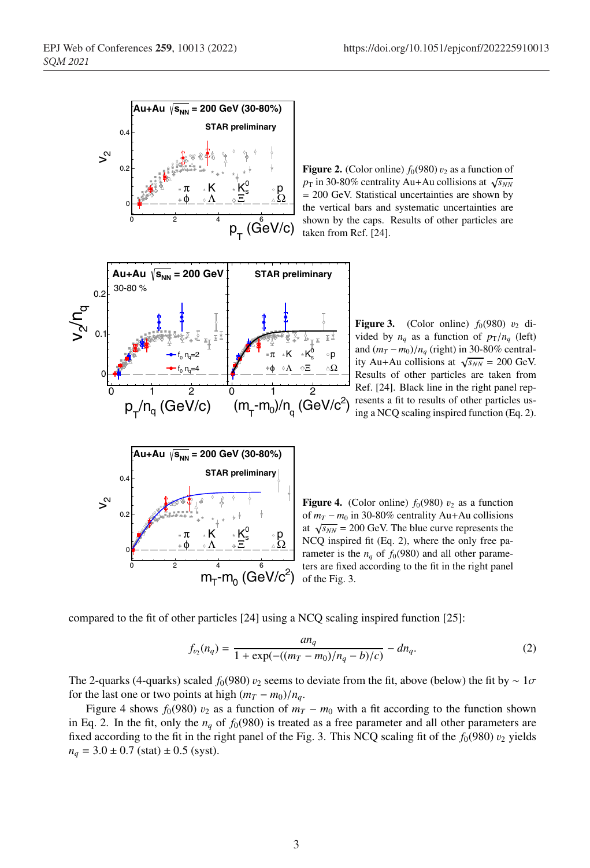

Figure 2. (Color online)  $f_0(980) v_2$  as a function of  $p_T$  in 30-80% centrality Au+Au collisions at  $\sqrt{s_{NN}}$ = 200 GeV. Statistical uncertainties are shown by the vertical bars and systematic uncertainties are shown by the caps. Results of other particles are taken from Ref. [24].



Figure 3. (Color online)  $f_0(980)$   $v_2$  divided by  $n_a$  as a function of  $p_T/n_a$  (left) and  $(m_T - m_0)/n_a$  (right) in 30-80% centrality Au+Au collisions at  $\sqrt{s_{NN}}$  = 200 GeV. Results of other particles are taken from Ref. [24]. Black line in the right panel represents a fit to results of other particles using a NCQ scaling inspired function (Eq. 2).



**Figure 4.** (Color online)  $f_0(980)$   $v_2$  as a function of  $m_T - m_0$  in 30-80% centrality Au+Au collisions at  $\sqrt{s_{NN}}$  = 200 GeV. The blue curve represents the NCQ inspired fit (Eq. 2), where the only free parameter is the  $n_a$  of  $f_0(980)$  and all other parameters are fixed according to the fit in the right panel of the Fig. 3.

compared to the fit of other particles  $[24]$  using a NCQ scaling inspired function  $[25]$ :

$$
f_{\nu_2}(n_q) = \frac{an_q}{1 + \exp(-(((m_T - m_0)/n_q - b)/c)} - dn_q.
$$
 (2)

The 2-quarks (4-quarks) scaled  $f_0(980)$  v<sub>2</sub> seems to deviate from the fit, above (below) the fit by ∼ 1 $\sigma$ for the last one or two points at high  $(m_T - m_0)/n_q$ .

Figure 4 shows  $f_0(980)$  v<sub>2</sub> as a function of  $m<sub>T</sub> - m<sub>0</sub>$  with a fit according to the function shown in Eq. 2. In the fit, only the  $n_q$  of  $f_0(980)$  is treated as a free parameter and all other parameters are fixed according to the fit in the right panel of the Fig. 3. This NCQ scaling fit of the  $f_0(980)$  v<sub>2</sub> yields  $n_q = 3.0 \pm 0.7$  (stat)  $\pm 0.5$  (syst).